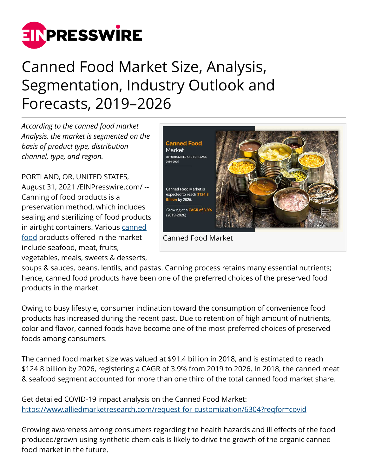

## Canned Food Market Size, Analysis, Segmentation, Industry Outlook and Forecasts, 2019–2026

*According to the canned food market Analysis, the market is segmented on the basis of product type, distribution channel, type, and region.*

PORTLAND, OR, UNITED STATES, August 31, 2021 /[EINPresswire.com/](http://www.einpresswire.com) -- Canning of food products is a preservation method, which includes sealing and sterilizing of food products in airtight containers. Various [canned](https://www.alliedmarketresearch.com/canned-food-market-A05939) [food](https://www.alliedmarketresearch.com/canned-food-market-A05939) products offered in the market include seafood, meat, fruits, vegetables, meals, sweets & desserts,



Canned Food Market

soups & sauces, beans, lentils, and pastas. Canning process retains many essential nutrients; hence, canned food products have been one of the preferred choices of the preserved food products in the market.

Owing to busy lifestyle, consumer inclination toward the consumption of convenience food products has increased during the recent past. Due to retention of high amount of nutrients, color and flavor, canned foods have become one of the most preferred choices of preserved foods among consumers.

The canned food market size was valued at \$91.4 billion in 2018, and is estimated to reach \$124.8 billion by 2026, registering a CAGR of 3.9% from 2019 to 2026. In 2018, the canned meat & seafood segment accounted for more than one third of the total canned food market share.

Get detailed COVID-19 impact analysis on the Canned Food Market: <https://www.alliedmarketresearch.com/request-for-customization/6304?reqfor=covid>

Growing awareness among consumers regarding the health hazards and ill effects of the food produced/grown using synthetic chemicals is likely to drive the growth of the organic canned food market in the future.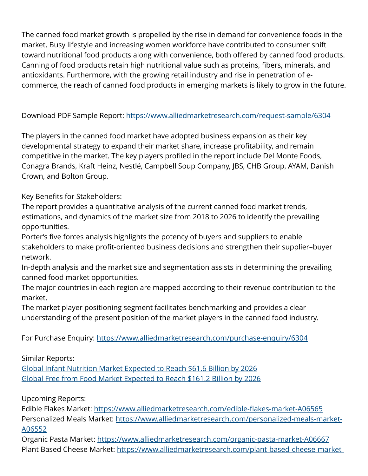The canned food market growth is propelled by the rise in demand for convenience foods in the market. Busy lifestyle and increasing women workforce have contributed to consumer shift toward nutritional food products along with convenience, both offered by canned food products. Canning of food products retain high nutritional value such as proteins, fibers, minerals, and antioxidants. Furthermore, with the growing retail industry and rise in penetration of ecommerce, the reach of canned food products in emerging markets is likely to grow in the future.

## Download PDF Sample Report: <https://www.alliedmarketresearch.com/request-sample/6304>

The players in the canned food market have adopted business expansion as their key developmental strategy to expand their market share, increase profitability, and remain competitive in the market. The key players profiled in the report include Del Monte Foods, Conagra Brands, Kraft Heinz, Nestlé, Campbell Soup Company, JBS, CHB Group, AYAM, Danish Crown, and Bolton Group.

Key Benefits for Stakeholders:

The report provides a quantitative analysis of the current canned food market trends, estimations, and dynamics of the market size from 2018 to 2026 to identify the prevailing opportunities.

Porter's five forces analysis highlights the potency of buyers and suppliers to enable stakeholders to make profit-oriented business decisions and strengthen their supplier–buyer network.

In-depth analysis and the market size and segmentation assists in determining the prevailing canned food market opportunities.

The major countries in each region are mapped according to their revenue contribution to the market.

The market player positioning segment facilitates benchmarking and provides a clear understanding of the present position of the market players in the canned food industry.

For Purchase Enquiry: <https://www.alliedmarketresearch.com/purchase-enquiry/6304>

Similar Reports:

[Global Infant Nutrition Market Expected to Reach \\$61.6 Billion by 2026](https://www.alliedmarketresearch.com/infant-nutrition-market) [Global Free from Food Market Expected to Reach \\$161.2 Billion by 2026](https://www.alliedmarketresearch.com/free-from-food-market-A06007)

Upcoming Reports:

Edible Flakes Market:<https://www.alliedmarketresearch.com/edible-flakes-market-A06565> Personalized Meals Market: [https://www.alliedmarketresearch.com/personalized-meals-market-](https://www.alliedmarketresearch.com/personalized-meals-market-A06552)[A06552](https://www.alliedmarketresearch.com/personalized-meals-market-A06552)

Organic Pasta Market: <https://www.alliedmarketresearch.com/organic-pasta-market-A06667> Plant Based Cheese Market: [https://www.alliedmarketresearch.com/plant-based-cheese-market-](https://www.alliedmarketresearch.com/plant-based-cheese-market-A06679)